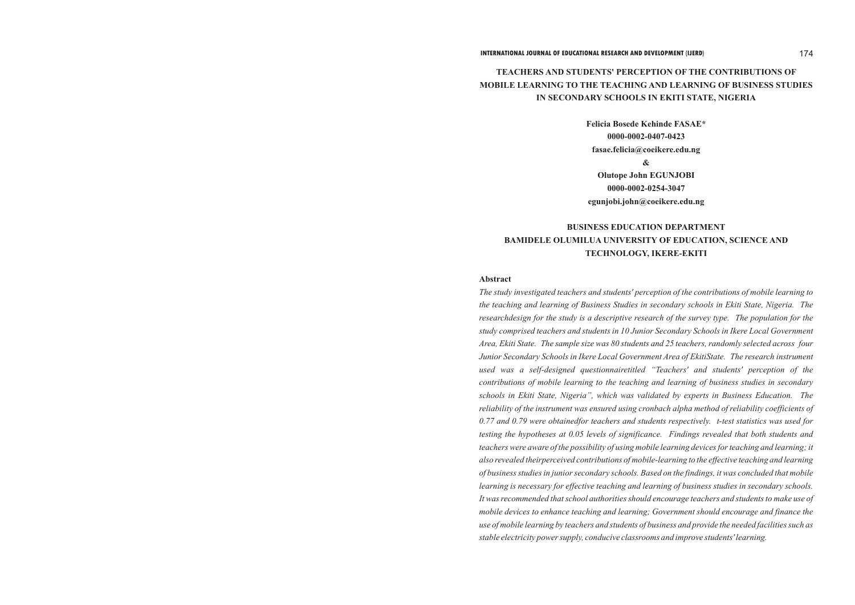### **INTERNATIONAL JOURNAL OF EDUCATIONAL RESEARCH AND DEVELOPMENT (IJERD)** 174

# **TEACHERS AND STUDENTS' PERCEPTION OF THE CONTRIBUTIONS OF MOBILE LEARNING TO THE TEACHING AND LEARNING OF BUSINESS STUDIES IN SECONDARY SCHOOLS IN EKITI STATE, NIGERIA**

**Felicia Bosede Kehinde FASAE\* 0000-0002-0407-0423 fasae.felicia@coeikere.edu.ng & Olutope John EGUNJOBI 0000-0002-0254-3047 egunjobi.john@coeikere.edu.ng**

# **BUSINESS EDUCATION DEPARTMENT BAMIDELE OLUMILUA UNIVERSITY OF EDUCATION, SCIENCE AND TECHNOLOGY, IKERE-EKITI**

# **Abstract**

*The study investigated teachers and students' perception of the contributions of mobile learning to the teaching and learning of Business Studies in secondary schools in Ekiti State, Nigeria. The researchdesign for the study is a descriptive research of the survey type. The population for the study comprised teachers and students in 10 Junior Secondary Schools in Ikere Local Government Area, Ekiti State. The sample size was 80 students and 25 teachers, randomly selected across four Junior Secondary Schools in Ikere Local Government Area of EkitiState. The research instrument used was a self-designed questionnairetitled "Teachers' and students' perception of the contributions of mobile learning to the teaching and learning of business studies in secondary schools in Ekiti State, Nigeria", which was validated by experts in Business Education. The reliability of the instrument was ensured using cronbach alpha method of reliability coefficients of 0.77 and 0.79 were obtainedfor teachers and students respectively. t-test statistics was used for testing the hypotheses at 0.05 levels of significance. Findings revealed that both students and teachers were aware of the possibility of using mobile learning devices for teaching and learning; it also revealed theirperceived contributions of mobile-learning to the effective teaching and learning of business studies in junior secondary schools. Based on the findings, it was concluded that mobile learning is necessary for effective teaching and learning of business studies in secondary schools. It was recommended that school authorities should encourage teachers and students to make use of mobile devices to enhance teaching and learning; Government should encourage and finance the use of mobile learning by teachers and students of business and provide the needed facilities such as stable electricity power supply, conducive classrooms and improve students' learning.*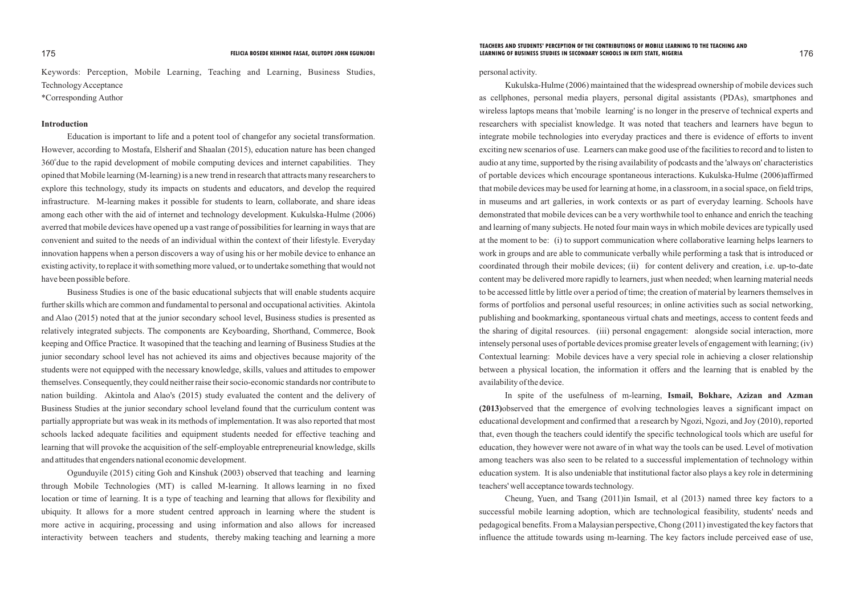Keywords: Perception, Mobile Learning, Teaching and Learning, Business Studies, Technology Acceptance \*Corresponding Author

### **Introduction**

Education is important to life and a potent tool of changefor any societal transformation. However, according to Mostafa, Elsherif and Shaalan (2015), education nature has been changed 360° due to the rapid development of mobile computing devices and internet capabilities. They opined that Mobile learning (M-learning) is a new trend in research that attracts many researchers to explore this technology, study its impacts on students and educators, and develop the required infrastructure. M-learning makes it possible for students to learn, collaborate, and share ideas among each other with the aid of internet and technology development. Kukulska-Hulme (2006) averred that mobile devices have opened up a vast range of possibilities for learning in ways that are convenient and suited to the needs of an individual within the context of their lifestyle. Everyday innovation happens when a person discovers a way of using his or her mobile device to enhance an existing activity, to replace it with something more valued, or to undertake something that would not have been possible before.

Business Studies is one of the basic educational subjects that will enable students acquire further skills which are common and fundamental to personal and occupational activities. Akintola and Alao (2015) noted that at the junior secondary school level, Business studies is presented as relatively integrated subjects. The components are Keyboarding, Shorthand, Commerce, Book keeping and Office Practice. It wasopined that the teaching and learning of Business Studies at the junior secondary school level has not achieved its aims and objectives because majority of the students were not equipped with the necessary knowledge, skills, values and attitudes to empower themselves. Consequently, they could neither raise their socio-economic standards nor contribute to nation building. Akintola and Alao's (2015) study evaluated the content and the delivery of Business Studies at the junior secondary school leveland found that the curriculum content was partially appropriate but was weak in its methods of implementation. It was also reported that most schools lacked adequate facilities and equipment students needed for effective teaching and learning that will provoke the acquisition of the self-employable entrepreneurial knowledge, skills and attitudes that engenders national economic development.

Ogunduyile (2015) citing Goh and Kinshuk (2003) observed that teaching and learning through Mobile Technologies (MT) is called M-learning. It allows learning in no fixed location or time of learning. It is a type of teaching and learning that allows for flexibility and ubiquity. It allows for a more student centred approach in learning where the student is more active in acquiring, processing and using information and also allows for increased interactivity between teachers and students, thereby making teaching and learning a more

### personal activity.

Kukulska-Hulme (2006) maintained that the widespread ownership of mobile devices such as cellphones, personal media players, personal digital assistants (PDAs), smartphones and wireless laptops means that 'mobile learning' is no longer in the preserve of technical experts and researchers with specialist knowledge. It was noted that teachers and learners have begun to integrate mobile technologies into everyday practices and there is evidence of efforts to invent exciting new scenarios of use. Learners can make good use of the facilities to record and to listen to audio at any time, supported by the rising availability of podcasts and the 'always on' characteristics of portable devices which encourage spontaneous interactions. Kukulska-Hulme (2006)affirmed that mobile devices may be used for learning at home, in a classroom, in a social space, on field trips, in museums and art galleries, in work contexts or as part of everyday learning. Schools have demonstrated that mobile devices can be a very worthwhile tool to enhance and enrich the teaching and learning of many subjects. He noted four main ways in which mobile devices are typically used at the moment to be: (i) to support communication where collaborative learning helps learners to work in groups and are able to communicate verbally while performing a task that is introduced or coordinated through their mobile devices; (ii) for content delivery and creation, i.e. up-to-date content may be delivered more rapidly to learners, just when needed; when learning material needs to be accessed little by little over a period of time; the creation of material by learners themselves in forms of portfolios and personal useful resources; in online activities such as social networking, publishing and bookmarking, spontaneous virtual chats and meetings, access to content feeds and the sharing of digital resources. (iii) personal engagement: alongside social interaction, more intensely personal uses of portable devices promise greater levels of engagement with learning; (iv) Contextual learning: Mobile devices have a very special role in achieving a closer relationship between a physical location, the information it offers and the learning that is enabled by the availability of the device.

In spite of the usefulness of m-learning, **Ismail, Bokhare, Azizan and Azman (2013)**observed that the emergence of evolving technologies leaves a significant impact on educational development and confirmed that a research by Ngozi, Ngozi, and Joy (2010), reported that, even though the teachers could identify the specific technological tools which are useful for education, they however were not aware of in what way the tools can be used. Level of motivation among teachers was also seen to be related to a successful implementation of technology within education system. It is also undeniable that institutional factor also plays a key role in determining teachers' well acceptance towards technology.

Cheung, Yuen, and Tsang (2011)in Ismail, et al (2013) named three key factors to a successful mobile learning adoption, which are technological feasibility, students' needs and pedagogical benefits. From a Malaysian perspective, Chong (2011) investigated the key factors that influence the attitude towards using m-learning. The key factors include perceived ease of use,

### 175 176 **FELICIA BOSEDE KEHINDE FASAE, OLUTOPE JOHN EGUNJOBI LEARNING OF BUSINESS STUDIES IN SECONDARY SCHOOLS IN EKITI STATE, NIGERIATEACHERS AND STUDENTS' PERCEPTION OF THE CONTRIBUTIONS OF MOBILE LEARNING TO THE TEACHING AND**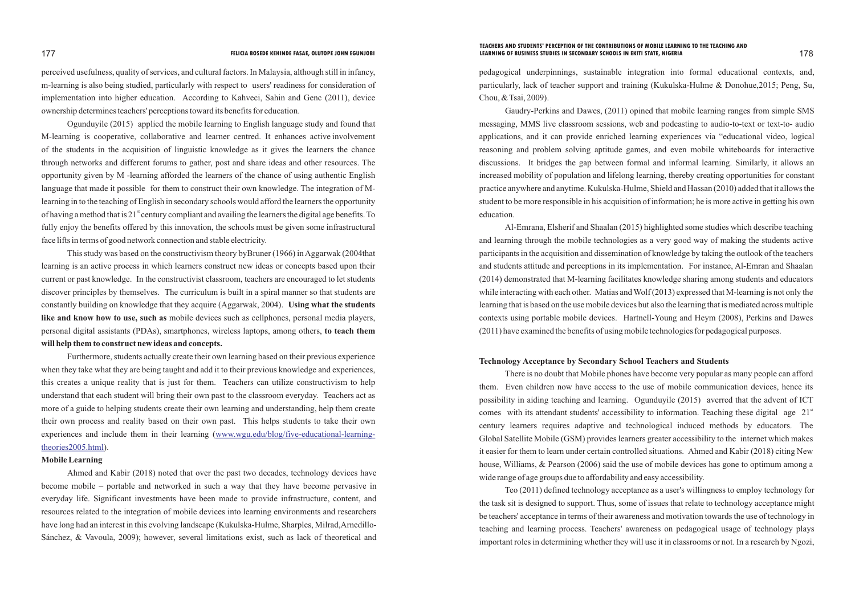perceived usefulness, quality of services, and cultural factors. In Malaysia, although still in infancy, m-learning is also being studied, particularly with respect to users' readiness for consideration of implementation into higher education. According to Kahveci, Sahin and Genc (2011), device ownership determines teachers' perceptions toward its benefits for education.

Ogunduyile (2015) applied the mobile learning to English language study and found that M-learning is cooperative, collaborative and learner centred. It enhances active involvement of the students in the acquisition of linguistic knowledge as it gives the learners the chance through networks and different forums to gather, post and share ideas and other resources. The opportunity given by M -learning afforded the learners of the chance of using authentic English language that made it possible for them to construct their own knowledge. The integration of Mlearning in to the teaching of English in secondary schools would afford the learners the opportunity of having a method that is  $21<sup>st</sup>$  century compliant and availing the learners the digital age benefits. To fully enjoy the benefits offered by this innovation, the schools must be given some infrastructural face lifts in terms of good network connection and stable electricity.

Furthermore, students actually create their own learning based on their previous experience when they take what they are being taught and add it to their previous knowledge and experiences, this creates a unique reality that is just for them. Teachers can utilize constructivism to help understand that each student will bring their own past to the classroom everyday. Teachers act as more of a guide to helping students create their own learning and understanding, help them create their own process and reality based on their own past. This helps students to take their own [experiences and include them in their learning \(](http://www.wgu.edu/blog/five-educational-learning-theories2005.html)www.wgu.edu/blog/five-educational-learningtheories2005.html).

This study was based on the constructivism theory byBruner (1966) in Aggarwak (2004that learning is an active process in which learners construct new ideas or concepts based upon their current or past knowledge. In the constructivist classroom, teachers are encouraged to let students discover principles by themselves. The curriculum is built in a spiral manner so that students are constantly building on knowledge that they acquire (Aggarwak, 2004). **Using what the students like and know how to use, such as** mobile devices such as cellphones, personal media players, personal digital assistants (PDAs), smartphones, wireless laptops, among others, **to teach them will help them to construct new ideas and concepts.** 

### **Mobile Learning**

Ahmed and Kabir (2018) noted that over the past two decades, technology devices have become mobile – portable and networked in such a way that they have become pervasive in everyday life. Significant investments have been made to provide infrastructure, content, and resources related to the integration of mobile devices into learning environments and researchers have long had an interest in this evolving landscape (Kukulska-Hulme, Sharples, Milrad,Arnedillo-Sánchez, & Vavoula, 2009); however, several limitations exist, such as lack of theoretical and

pedagogical underpinnings, sustainable integration into formal educational contexts, and, particularly, lack of teacher support and training (Kukulska-Hulme & Donohue,2015; Peng, Su, Chou, & Tsai, 2009).

Gaudry-Perkins and Dawes, (2011) opined that mobile learning ranges from simple SMS messaging, MMS live classroom sessions, web and podcasting to audio-to-text or text-to- audio applications, and it can provide enriched learning experiences via "educational video, logical reasoning and problem solving aptitude games, and even mobile whiteboards for interactive discussions. It bridges the gap between formal and informal learning. Similarly, it allows an increased mobility of population and lifelong learning, thereby creating opportunities for constant practice anywhere and anytime. Kukulska-Hulme, Shield and Hassan (2010) added that it allows the student to be more responsible in his acquisition of information; he is more active in getting his own education.

Al-Emrana, Elsherif and Shaalan (2015) highlighted some studies which describe teaching and learning through the mobile technologies as a very good way of making the students active participants in the acquisition and dissemination of knowledge by taking the outlook of the teachers and students attitude and perceptions in its implementation. For instance, Al-Emran and Shaalan (2014) demonstrated that M-learning facilitates knowledge sharing among students and educators while interacting with each other. Matias and Wolf (2013) expressed that M-learning is not only the learning that is based on the use mobile devices but also the learning that is mediated across multiple contexts using portable mobile devices. Hartnell-Young and Heym (2008), Perkins and Dawes (2011) have examined the benefits of using mobile technologies for pedagogical purposes.

# **Technology Acceptance by Secondary School Teachers and Students**

There is no doubt that Mobile phones have become very popular as many people can afford them. Even children now have access to the use of mobile communication devices, hence its possibility in aiding teaching and learning. Ogunduyile (2015) averred that the advent of ICT comes with its attendant students' accessibility to information. Teaching these digital age 21<sup>st</sup> century learners requires adaptive and technological induced methods by educators. The Global Satellite Mobile (GSM) provides learners greater accessibility to the internet which makes it easier for them to learn under certain controlled situations. Ahmed and Kabir (2018) citing New house, Williams, & Pearson (2006) said the use of mobile devices has gone to optimum among a wide range of age groups due to affordability and easy accessibility.

Teo (2011) defined technology acceptance as a user's willingness to employ technology for the task sit is designed to support. Thus, some of issues that relate to technology acceptance might be teachers' acceptance in terms of their awareness and motivation towards the use of technology in teaching and learning process. Teachers' awareness on pedagogical usage of technology plays important roles in determining whether they will use it in classrooms or not. In a research by Ngozi,

### 177 178 **FELICIA BOSEDE KEHINDE FASAE, OLUTOPE JOHN EGUNJOBI LEARNING OF BUSINESS STUDIES IN SECONDARY SCHOOLS IN EKITI STATE, NIGERIATEACHERS AND STUDENTS' PERCEPTION OF THE CONTRIBUTIONS OF MOBILE LEARNING TO THE TEACHING AND**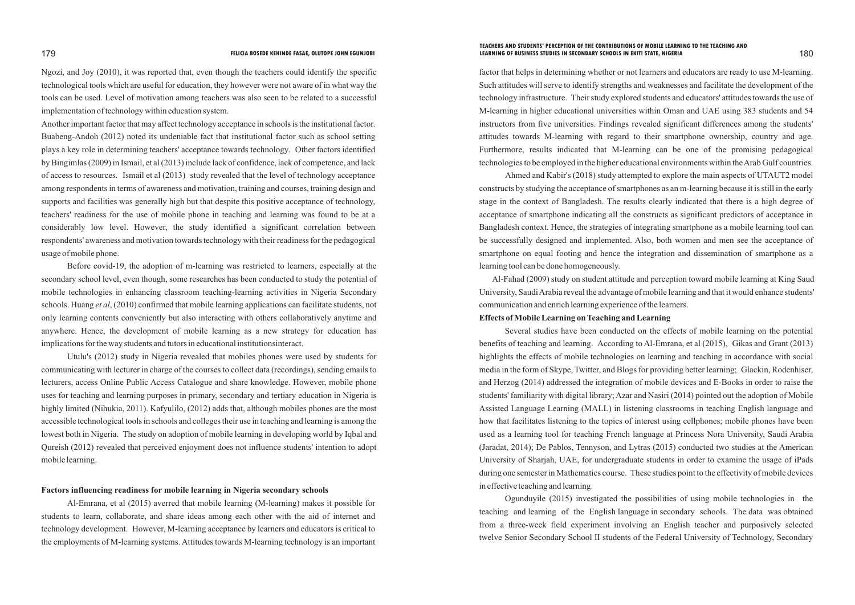Ngozi, and Joy (2010), it was reported that, even though the teachers could identify the specific technological tools which are useful for education, they however were not aware of in what way the tools can be used. Level of motivation among teachers was also seen to be related to a successful implementation of technology within education system.

Another important factor that may affect technology acceptance in schools is the institutional factor. Buabeng-Andoh (2012) noted its undeniable fact that institutional factor such as school setting plays a key role in determining teachers' acceptance towards technology. Other factors identified by Bingimlas (2009) in Ismail, et al (2013) include lack of confidence, lack of competence, and lack of access to resources. Ismail et al (2013) study revealed that the level of technology acceptance among respondents in terms of awareness and motivation, training and courses, training design and supports and facilities was generally high but that despite this positive acceptance of technology, teachers' readiness for the use of mobile phone in teaching and learning was found to be at a considerably low level. However, the study identified a significant correlation between respondents' awareness and motivation towards technology with their readiness for the pedagogical usage of mobile phone.

Before covid-19, the adoption of m-learning was restricted to learners, especially at the secondary school level, even though, some researches has been conducted to study the potential of mobile technologies in enhancing classroom teaching-learning activities in Nigeria Secondary schools. Huang *et al*, (2010) confirmed that mobile learning applications can facilitate students, not only learning contents conveniently but also interacting with others collaboratively anytime and anywhere. Hence, the development of mobile learning as a new strategy for education has implications for the way students and tutors in educational institutionsinteract.

Utulu's (2012) study in Nigeria revealed that mobiles phones were used by students for communicating with lecturer in charge of the courses to collect data (recordings), sending emails to lecturers, access Online Public Access Catalogue and share knowledge. However, mobile phone uses for teaching and learning purposes in primary, secondary and tertiary education in Nigeria is highly limited (Nihukia, 2011). Kafyulilo, (2012) adds that, although mobiles phones are the most accessible technological tools in schools and colleges their use in teaching and learning is among the lowest both in Nigeria. The study on adoption of mobile learning in developing world by Iqbal and Qureish (2012) revealed that perceived enjoyment does not influence students' intention to adopt mobile learning.

# **Factors influencing readiness for mobile learning in Nigeria secondary schools**

Al-Emrana, et al (2015) averred that mobile learning (M-learning) makes it possible for students to learn, collaborate, and share ideas among each other with the aid of internet and technology development. However, M-learning acceptance by learners and educators is critical to the employments of M-learning systems. Attitudes towards M-learning technology is an important

factor that helps in determining whether or not learners and educators are ready to use M-learning. Such attitudes will serve to identify strengths and weaknesses and facilitate the development of the technology infrastructure. Their study explored students and educators' attitudes towards the use of M-learning in higher educational universities within Oman and UAE using 383 students and 54 instructors from five universities. Findings revealed significant differences among the students' attitudes towards M-learning with regard to their smartphone ownership, country and age. Furthermore, results indicated that M-learning can be one of the promising pedagogical technologies to be employed in the higher educational environments within the Arab Gulf countries. Ahmed and Kabir's (2018) study attempted to explore the main aspects of UTAUT2 model constructs by studying the acceptance of smartphones as an m-learning because it is still in the early stage in the context of Bangladesh. The results clearly indicated that there is a high degree of acceptance of smartphone indicating all the constructs as significant predictors of acceptance in Bangladesh context. Hence, the strategies of integrating smartphone as a mobile learning tool can be successfully designed and implemented. Also, both women and men see the acceptance of smartphone on equal footing and hence the integration and dissemination of smartphone as a

learning tool can be done homogeneously.

Al-Fahad (2009) study on student attitude and perception toward mobile learning at King Saud University, Saudi Arabia reveal the advantage of mobile learning and that it would enhance students' communication and enrich learning experience of the learners. **Effects of Mobile Learning on Teaching and Learning**

Several studies have been conducted on the effects of mobile learning on the potential benefits of teaching and learning. According to Al-Emrana, et al (2015), Gikas and Grant (2013) highlights the effects of mobile technologies on learning and teaching in accordance with social media in the form of Skype, Twitter, and Blogs for providing better learning; Glackin, Rodenhiser, and Herzog (2014) addressed the integration of mobile devices and E-Books in order to raise the students' familiarity with digital library; Azar and Nasiri (2014) pointed out the adoption of Mobile Assisted Language Learning (MALL) in listening classrooms in teaching English language and how that facilitates listening to the topics of interest using cellphones; mobile phones have been used as a learning tool for teaching French language at Princess Nora University, Saudi Arabia (Jaradat, 2014); De Pablos, Tennyson, and Lytras (2015) conducted two studies at the American University of Sharjah, UAE, for undergraduate students in order to examine the usage of iPads during one semester in Mathematics course. These studies point to the effectivity of mobile devices in effective teaching and learning.

Ogunduyile (2015) investigated the possibilities of using mobile technologies in the teaching and learning of the English language in secondary schools. The data was obtained from a three-week field experiment involving an English teacher and purposively selected twelve Senior Secondary School II students of the Federal University of Technology, Secondary

### 179 180 **FELICIA BOSEDE KEHINDE FASAE, OLUTOPE JOHN EGUNJOBI LEARNING OF BUSINESS STUDIES IN SECONDARY SCHOOLS IN EKITI STATE, NIGERIATEACHERS AND STUDENTS' PERCEPTION OF THE CONTRIBUTIONS OF MOBILE LEARNING TO THE TEACHING AND**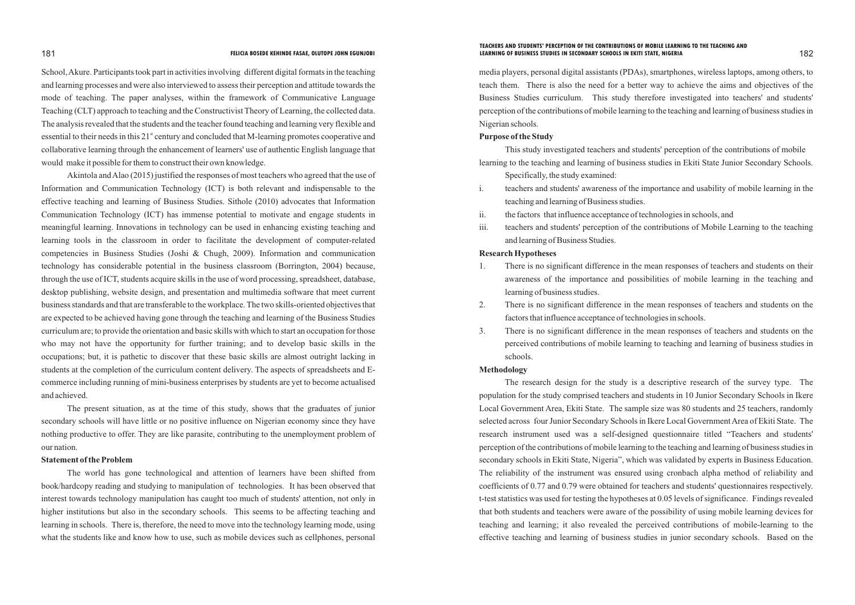School, Akure. Participants took part in activities involving different digital formats in the teaching and learning processes and were also interviewed to assess their perception and attitude towards the mode of teaching. The paper analyses, within the framework of Communicative Language Teaching (CLT) approach to teaching and the Constructivist Theory of Learning, the collected data. The analysis revealed that the students and the teacher found teaching and learning very flexible and essential to their needs in this 21<sup>st</sup> century and concluded that M-learning promotes cooperative and collaborative learning through the enhancement of learners' use of authentic English language that would make it possible for them to construct their own knowledge.

Akintola and Alao (2015) justified the responses of most teachers who agreed that the use of Information and Communication Technology (ICT) is both relevant and indispensable to the effective teaching and learning of Business Studies. Sithole (2010) advocates that Information Communication Technology (ICT) has immense potential to motivate and engage students in meaningful learning. Innovations in technology can be used in enhancing existing teaching and learning tools in the classroom in order to facilitate the development of computer-related competencies in Business Studies (Joshi & Chugh, 2009). Information and communication technology has considerable potential in the business classroom (Borrington, 2004) because, through the use of ICT, students acquire skills in the use of word processing, spreadsheet, database, desktop publishing, website design, and presentation and multimedia software that meet current business standards and that are transferable to the workplace. The two skills-oriented objectives that are expected to be achieved having gone through the teaching and learning of the Business Studies curriculum are; to provide the orientation and basic skills with which to start an occupation for those who may not have the opportunity for further training; and to develop basic skills in the occupations; but, it is pathetic to discover that these basic skills are almost outright lacking in students at the completion of the curriculum content delivery. The aspects of spreadsheets and Ecommerce including running of mini-business enterprises by students are yet to become actualised and achieved.

The present situation, as at the time of this study, shows that the graduates of junior secondary schools will have little or no positive influence on Nigerian economy since they have nothing productive to offer. They are like parasite, contributing to the unemployment problem of our nation.

### **Statement of the Problem**

The world has gone technological and attention of learners have been shifted from book/hardcopy reading and studying to manipulation of technologies. It has been observed that interest towards technology manipulation has caught too much of students' attention, not only in higher institutions but also in the secondary schools. This seems to be affecting teaching and learning in schools. There is, therefore, the need to move into the technology learning mode, using what the students like and know how to use, such as mobile devices such as cellphones, personal

media players, personal digital assistants (PDAs), smartphones, wireless laptops, among others, to teach them. There is also the need for a better way to achieve the aims and objectives of the Business Studies curriculum. This study therefore investigated into teachers' and students' perception of the contributions of mobile learning to the teaching and learning of business studies in Nigerian schools.

### **Purpose of the Study**

This study investigated teachers and students' perception of the contributions of mobile learning to the teaching and learning of business studies in Ekiti State Junior Secondary Schools.

i. teachers and students' awareness of the importance and usability of mobile learning in the

- Specifically, the study examined:
- teaching and learning of Business studies.
- ii. the factors that influence acceptance of technologies in schools, and
- and learning of Business Studies.

iii. teachers and students' perception of the contributions of Mobile Learning to the teaching

# **Research Hypotheses**

1. There is no significant difference in the mean responses of teachers and students on their awareness of the importance and possibilities of mobile learning in the teaching and

2. There is no significant difference in the mean responses of teachers and students on the

- learning of business studies.
- factors that influence acceptance of technologies in schools.
- schools.

3. There is no significant difference in the mean responses of teachers and students on the perceived contributions of mobile learning to teaching and learning of business studies in

### **Methodology**

The research design for the study is a descriptive research of the survey type. The population for the study comprised teachers and students in 10 Junior Secondary Schools in Ikere Local Government Area, Ekiti State. The sample size was 80 students and 25 teachers, randomly selected across four Junior Secondary Schools in Ikere Local Government Area of Ekiti State. The research instrument used was a self-designed questionnaire titled "Teachers and students' perception of the contributions of mobile learning to the teaching and learning of business studies in secondary schools in Ekiti State, Nigeria", which was validated by experts in Business Education. The reliability of the instrument was ensured using cronbach alpha method of reliability and coefficients of 0.77 and 0.79 were obtained for teachers and students' questionnaires respectively. t-test statistics was used for testing the hypotheses at 0.05 levels of significance. Findings revealed that both students and teachers were aware of the possibility of using mobile learning devices for teaching and learning; it also revealed the perceived contributions of mobile-learning to the effective teaching and learning of business studies in junior secondary schools. Based on the

### 181 182 **FELICIA BOSEDE KEHINDE FASAE, OLUTOPE JOHN EGUNJOBI LEARNING OF BUSINESS STUDIES IN SECONDARY SCHOOLS IN EKITI STATE, NIGERIATEACHERS AND STUDENTS' PERCEPTION OF THE CONTRIBUTIONS OF MOBILE LEARNING TO THE TEACHING AND**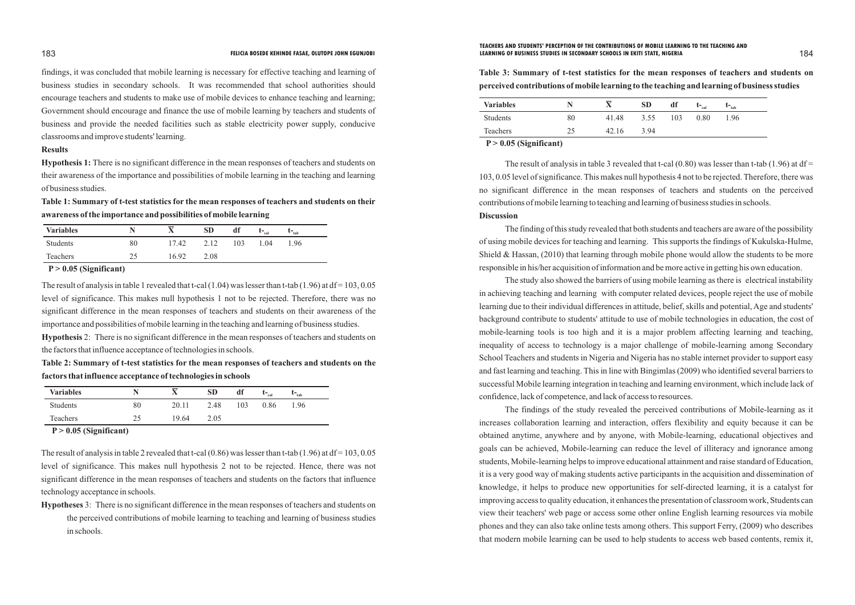findings, it was concluded that mobile learning is necessary for effective teaching and learning of business studies in secondary schools. It was recommended that school authorities should encourage teachers and students to make use of mobile devices to enhance teaching and learning; Government should encourage and finance the use of mobile learning by teachers and students of business and provide the needed facilities such as stable electricity power supply, conducive classrooms and improve students' learning.

# **Results**

**Hypothesis 1:** There is no significant difference in the mean responses of teachers and students on their awareness of the importance and possibilities of mobile learning in the teaching and learning of business studies.

The result of analysis in table 3 revealed that t-cal  $(0.80)$  was lesser than t-tab  $(1.96)$  at df = 103, 0.05 level of significance. This makes null hypothesis 4 not to be rejected. Therefore, there was no significant difference in the mean responses of teachers and students on the perceived contributions of mobile learning to teaching and learning of business studies in schools. **Discussion**

**Table 1: Summary of t-test statistics for the mean responses of teachers and students on their awareness of the importance and possibilities of mobile learning**

> The finding of this study revealed that both students and teachers are aware of the possibility of using mobile devices for teaching and learning. This supports the findings of Kukulska-Hulme, Shield & Hassan, (2010) that learning through mobile phone would allow the students to be more responsible in his/her acquisition of information and be more active in getting his own education.

The result of analysis in table 1 revealed that t-cal (1.04) was lesser than t-tab (1.96) at  $df = 103, 0.05$ level of significance. This makes null hypothesis 1 not to be rejected. Therefore, there was no significant difference in the mean responses of teachers and students on their awareness of the importance and possibilities of mobile learning in the teaching and learning of business studies.

The study also showed the barriers of using mobile learning as there is electrical instability in achieving teaching and learning with computer related devices, people reject the use of mobile learning due to their individual differences in attitude, belief, skills and potential, Age and students' background contribute to students' attitude to use of mobile technologies in education, the cost of mobile-learning tools is too high and it is a major problem affecting learning and teaching, inequality of access to technology is a major challenge of mobile-learning among Secondary School Teachers and students in Nigeria and Nigeria has no stable internet provider to support easy and fast learning and teaching. This in line with Bingimlas (2009) who identified several barriers to successful Mobile learning integration in teaching and learning environment, which include lack of confidence, lack of competence, and lack of access to resources.

The result of analysis in table 2 revealed that t-cal  $(0.86)$  was lesser than t-tab  $(1.96)$  at df = 103, 0.05 level of significance. This makes null hypothesis 2 not to be rejected. Hence, there was not significant difference in the mean responses of teachers and students on the factors that influence technology acceptance in schools.

The findings of the study revealed the perceived contributions of Mobile-learning as it increases collaboration learning and interaction, offers flexibility and equity because it can be obtained anytime, anywhere and by anyone, with Mobile-learning, educational objectives and goals can be achieved, Mobile-learning can reduce the level of illiteracy and ignorance among students, Mobile-learning helps to improve educational attainment and raise standard of Education, it is a very good way of making students active participants in the acquisition and dissemination of knowledge, it helps to produce new opportunities for self-directed learning, it is a catalyst for improving access to quality education, it enhances the presentation of classroom work, Students can view their teachers' web page or access some other online English learning resources via mobile phones and they can also take online tests among others. This support Ferry, (2009) who describes that modern mobile learning can be used to help students to access web based contents, remix it,

| <b>Variables</b> |    | $\overline{\phantom{a}}$ | <b>SD</b> | df  | $\mathbf{t}$ – $_{\rm cal}$ | $\mathbf{t}_{\mathsf{tab}}$ |
|------------------|----|--------------------------|-----------|-----|-----------------------------|-----------------------------|
| Students         | 80 | 17.42                    | 2.12      | 103 | 1.04                        | 1.96                        |
| Teachers         |    | 16.92                    | 2.08      |     |                             |                             |

 **P > 0.05 (Significant)**

**Hypothesis** 2: There is no significant difference in the mean responses of teachers and students on the factors that influence acceptance of technologies in schools.

**Table 2: Summary of t-test statistics for the mean responses of teachers and students on the factors that influence acceptance of technologies in schools**

| <b>Variables</b> |    | __    | <b>SD</b> | df  | $\mathbf{L}_{\text{cal}}$ | $\mathbf{L}_{\text{tab}}$ |
|------------------|----|-------|-----------|-----|---------------------------|---------------------------|
| <b>Students</b>  | 80 | 20.11 | 2.48      | 103 | 0.86                      | l.96                      |
| <b>Teachers</b>  | 25 | 19.64 | 2.05      |     |                           |                           |

 **P > 0.05 (Significant)**

**Hypotheses** 3: There is no significant difference in the mean responses of teachers and students on the perceived contributions of mobile learning to teaching and learning of business studies in schools.

**Table 3: Summary of t-test statistics for the mean responses of teachers and students on perceived contributions of mobile learning to the teaching and learning of business studies**

| <b>Variables</b>                                                               |        |       | <b>SD</b> | df  | $\mathbf{L}_{\text{cal}}$ | $\mathbf{t}_{\text{-tab}}$ |  |
|--------------------------------------------------------------------------------|--------|-------|-----------|-----|---------------------------|----------------------------|--|
| Students                                                                       | 80     | 41.48 | 3.55      | 103 | 0.80                      | 1.96                       |  |
| Teachers                                                                       | 25     | 42.16 | 3.94      |     |                           |                            |  |
| $\mathbf{R}$ $\mathbf{A}$ $\mathbf{A}$ $\mathbf{B}$ $\mathbf{A}$<br>$^{\circ}$ | $\sim$ |       |           |     |                           |                            |  |

 **P > 0.05 (Significant)**

### 183 184 **FELICIA BOSEDE KEHINDE FASAE, OLUTOPE JOHN EGUNJOBI LEARNING OF BUSINESS STUDIES IN SECONDARY SCHOOLS IN EKITI STATE, NIGERIATEACHERS AND STUDENTS' PERCEPTION OF THE CONTRIBUTIONS OF MOBILE LEARNING TO THE TEACHING AND**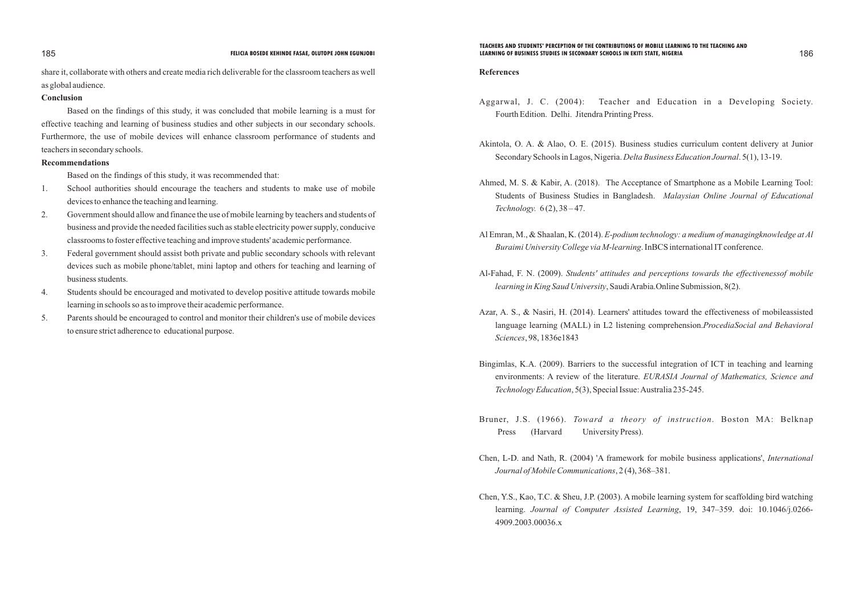share it, collaborate with others and create media rich deliverable for the classroom teachers as well as global audience.

# **Conclusion**

Based on the findings of this study, it was concluded that mobile learning is a must for effective teaching and learning of business studies and other subjects in our secondary schools. Furthermore, the use of mobile devices will enhance classroom performance of students and teachers in secondary schools.

# **Recommendations**

Based on the findings of this study, it was recommended that:

- 1. School authorities should encourage the teachers and students to make use of mobile devices to enhance the teaching and learning.
- 2. Government should allow and finance the use of mobile learning by teachers and students of business and provide the needed facilities such as stable electricity power supply, conducive classrooms to foster effective teaching and improve students' academic performance.
- 3. Federal government should assist both private and public secondary schools with relevant devices such as mobile phone/tablet, mini laptop and others for teaching and learning of business students.
- 4. Students should be encouraged and motivated to develop positive attitude towards mobile learning in schools so as to improve their academic performance.
- 5. Parents should be encouraged to control and monitor their children's use of mobile devices to ensure strict adherence to educational purpose.

# **References**

Aggarwal, J. C. (2004): Teacher and Education in a Developing Society.

Akintola, O. A. & Alao, O. E. (2015). Business studies curriculum content delivery at Junior

Ahmed, M. S. & Kabir, A. (2018). The Acceptance of Smartphone as a Mobile Learning Tool: Students of Business Studies in Bangladesh. *Malaysian Online Journal of Educational* 

Al Emran, M., & Shaalan, K. (2014). *E-podium technology: a medium of managingknowledge at Al* 

Al-Fahad, F. N. (2009). *Students' attitudes and perceptions towards the effectivenessof mobile* 

- Fourth Edition. Delhi. Jitendra Printing Press.
- Secondary Schools in Lagos, Nigeria. *Delta Business Education Journal*. 5(1), 13-19.
- *Technology.* 6 (2), 38 47.
- *Buraimi University College via M-learning*. InBCS international IT conference.
- *learning in King Saud University*, Saudi Arabia.Online Submission, 8(2).
- *Sciences*, 98, 1836e1843
- *Technology Education*, 5(3), Special Issue: Australia 235-245.
- Bruner, J.S. (1966). *Toward a theory of instruction*. Boston MA: Belknap Press (Harvard University Press).
- Chen, L-D. and Nath, R. (2004) 'A framework for mobile business applications', *International Journal of Mobile Communications*, 2 (4), 368–381.
- 4909.2003.00036.x

Azar, A. S., & Nasiri, H. (2014). Learners' attitudes toward the effectiveness of mobileassisted language learning (MALL) in L2 listening comprehension.*ProcediaSocial and Behavioral* 

Bingimlas, K.A. (2009). Barriers to the successful integration of ICT in teaching and learning environments: A review of the literature. *EURASIA Journal of Mathematics, Science and* 

Chen, Y.S., Kao, T.C. & Sheu, J.P. (2003). A mobile learning system for scaffolding bird watching learning. *Journal of Computer Assisted Learning*, 19, 347–359. doi: 10.1046/j.0266-

### 185 186 **FELICIA BOSEDE KEHINDE FASAE, OLUTOPE JOHN EGUNJOBI LEARNING OF BUSINESS STUDIES IN SECONDARY SCHOOLS IN EKITI STATE, NIGERIATEACHERS AND STUDENTS' PERCEPTION OF THE CONTRIBUTIONS OF MOBILE LEARNING TO THE TEACHING AND**